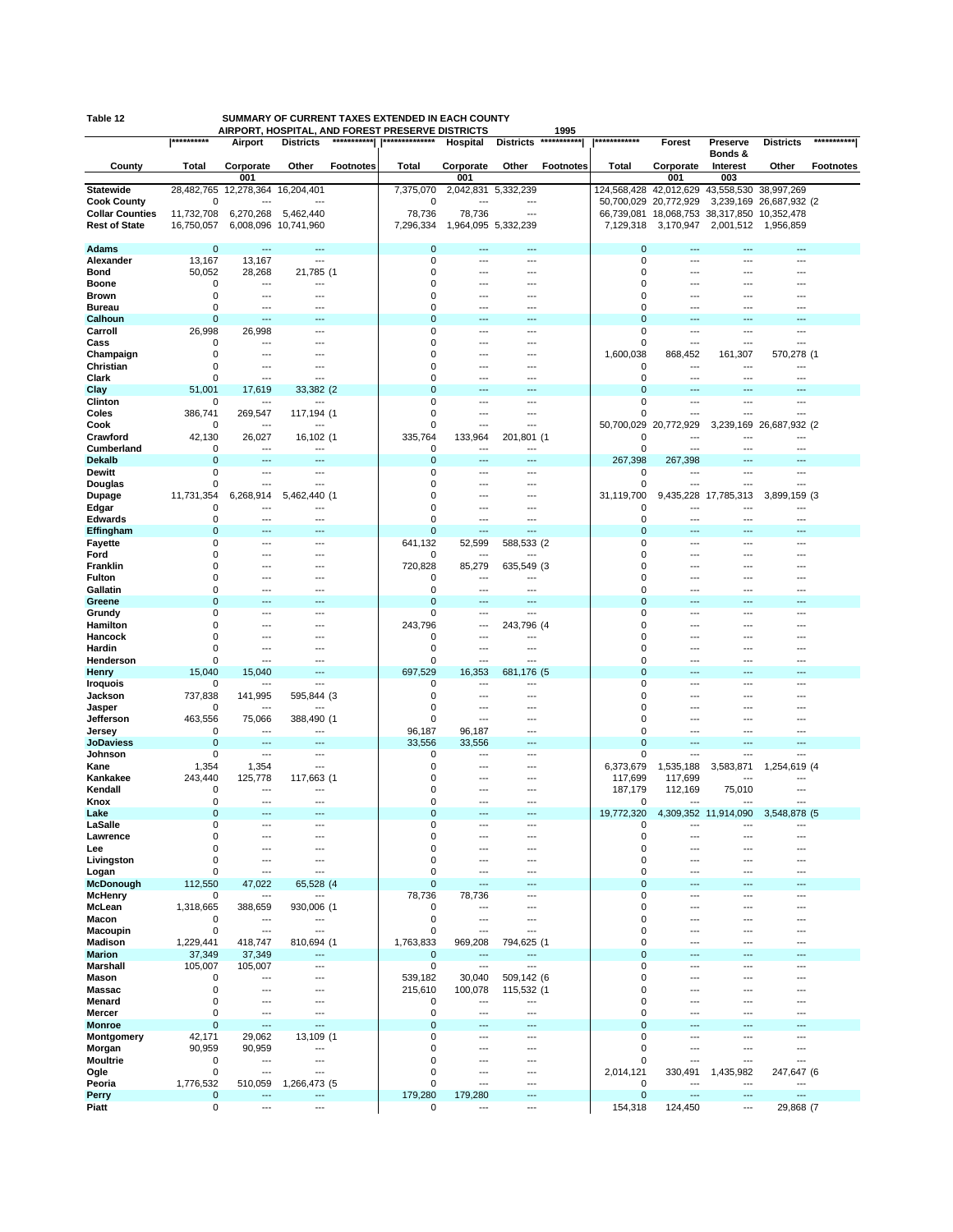|                            | **********       |                           | AIRPORT, HOSPITAL, AND FOREST PRESERVE DISTRICTS |                            |                     |                                 | 1995<br>*********** | ************               |                                             |                          |                         | ***********      |
|----------------------------|------------------|---------------------------|--------------------------------------------------|----------------------------|---------------------|---------------------------------|---------------------|----------------------------|---------------------------------------------|--------------------------|-------------------------|------------------|
|                            |                  | Airport                   | ***********<br><b>Districts</b>                  | **************             | Hospital            | <b>Districts</b>                |                     |                            | Forest                                      | Preserve                 | <b>Districts</b>        |                  |
| County                     | Total            | Corporate                 | Other<br><b>Footnotes</b>                        | <b>Total</b>               | Corporate           | Other                           | <b>Footnotes</b>    | Total                      | Corporate                                   | Bonds &<br>Interest      | Other                   | <b>Footnotes</b> |
|                            |                  | 001                       |                                                  |                            | 001                 |                                 |                     |                            | 001                                         | 003                      |                         |                  |
| <b>Statewide</b>           | 28,482,765       | 12,278,364                | 16,204,401                                       | 7,375,070                  | 2,042,831 5,332,239 |                                 |                     | 124,568,428                | 42,012,629                                  | 43,558,530               | 38,997,269              |                  |
| <b>Cook County</b>         | 0                |                           |                                                  | 0                          | ---                 | ---                             |                     |                            | 50,700,029 20,772,929                       |                          | 3,239,169 26,687,932 (2 |                  |
| <b>Collar Counties</b>     | 11,732,708       | 6,270,268                 | 5,462,440                                        | 78,736                     | 78,736              | ---                             |                     |                            | 66,739,081 18,068,753 38,317,850 10,352,478 |                          |                         |                  |
| <b>Rest of State</b>       | 16,750,057       |                           | 6,008,096 10,741,960                             | 7,296,334                  | 1,964,095 5,332,239 |                                 |                     | 7,129,318                  | 3,170,947                                   | 2,001,512                | 1,956,859               |                  |
|                            |                  |                           |                                                  |                            |                     |                                 |                     |                            |                                             |                          |                         |                  |
| <b>Adams</b>               | $\mathbf 0$      | ---                       | ---                                              | $\mathbf 0$<br>$\mathbf 0$ | ---<br>---          | ---                             |                     | 0<br>0                     | ---<br>---                                  | ---<br>---               | ---<br>---              |                  |
| Alexander<br>Bond          | 13,167<br>50,052 | 13,167<br>28,268          | ---<br>21,785 (1                                 | $\mathbf 0$                |                     | ---<br>---                      |                     | $\mathbf 0$                | ---                                         |                          | ---                     |                  |
| <b>Boone</b>               | 0                | ---                       | ---                                              | 0                          |                     | ---                             |                     | $\mathbf 0$                | ---                                         | ---                      | ---                     |                  |
| <b>Brown</b>               | 0                | ---                       | ---                                              | 0                          |                     | ---                             |                     | $\Omega$                   | ---                                         |                          |                         |                  |
| <b>Bureau</b>              | 0                | ---                       |                                                  | 0                          |                     | ---                             |                     | $\mathbf 0$                | ---                                         | ---                      | ---                     |                  |
| Calhoun                    | $\mathbf 0$      | $\overline{a}$            |                                                  | $\mathbf 0$                | −−                  | ---                             |                     | $\Omega$                   |                                             |                          |                         |                  |
| Carroll                    | 26,998           | 26,998                    | ---                                              | $\mathbf 0$                | ---                 | ---                             |                     | 0                          | ---                                         | ---                      | ---                     |                  |
| Cass                       | 0                | ---                       |                                                  | 0                          |                     | ---                             |                     | $\mathbf 0$                | ---                                         | ---                      |                         |                  |
| Champaign                  | 0                | ---                       |                                                  | 0                          | ---                 | ---                             |                     | 1,600,038                  | 868,452                                     | 161,307                  | 570,278 (1              |                  |
| Christian<br>Clark         | 0<br>0           | ---<br>---                | ---                                              | 0<br>0                     | ---                 | ---<br>---                      |                     | $\mathbf 0$<br>$\mathbf 0$ | ---<br>---                                  | ---                      | ---                     |                  |
| Clay                       | 51,001           | 17,619                    | 33,382 (2                                        | $\mathbf 0$                |                     |                                 |                     | $\mathbf 0$                |                                             |                          |                         |                  |
| Clinton                    | 0                | ---                       |                                                  | 0                          | ---                 | ---                             |                     | 0                          | ---                                         | ---                      | ---                     |                  |
| Coles                      | 386,741          | 269,547                   | 117,194 (1                                       | 0                          | ---                 | ---                             |                     | $\mathbf 0$                | ---                                         | ---                      | ---                     |                  |
| Cook                       | 0                | $---$                     | ---                                              | 0                          | ---                 | ---                             |                     | 50,700,029                 | 20,772,929                                  |                          | 3,239,169 26,687,932 (2 |                  |
| Crawford                   | 42,130           | 26,027                    | 16,102 (1                                        | 335,764                    | 133,964             | 201,801 (1                      |                     | 0                          |                                             |                          | ---                     |                  |
| Cumberland                 | 0                | ---                       | $---$                                            | 0                          | $---$               | ---                             |                     | $\mathbf 0$                | $\overline{\phantom{a}}$                    | ---                      | $---$                   |                  |
| <b>Dekalb</b>              | $\mathbf 0$      | $---$                     | ---                                              | $\mathbf 0$                | ---                 | ---                             |                     | 267,398                    | 267,398                                     | ---                      | $---$                   |                  |
| Dewitt<br>Douglas          | 0<br>$\mathbf 0$ | ---<br>---                | ---<br>---                                       | 0<br>$\mathbf 0$           | ---<br>---          | ---<br>---                      |                     | 0<br>0                     | $---$<br>$---$                              | ---<br>---               | ---<br>---              |                  |
| Dupage                     | 11,731,354       | 6,268,914                 | 5,462,440 (1                                     | $\mathbf 0$                | ---                 | ---                             |                     | 31,119,700                 | 9,435,228                                   | 17,785,313               | 3,899,159 (3            |                  |
| Edgar                      | $\mathbf 0$      | ---                       | ---                                              | $\mathbf 0$                | ---                 | ---                             |                     | 0                          | ---                                         | ---                      | ---                     |                  |
| <b>Edwards</b>             | $\mathbf 0$      | ---                       | ---                                              | $\mathbf 0$                | ---                 | ---                             |                     | 0                          | $\overline{a}$                              | $- -$                    | $\overline{a}$          |                  |
| Effingham                  | $\mathbf 0$      | ---                       | ---                                              | $\mathbf 0$                | ---                 | ---                             |                     | 0                          | ---                                         | ---                      | $---$                   |                  |
| Fayette                    | $\mathbf 0$      | $---$                     | ---                                              | 641,132                    | 52,599              | 588,533 (2                      |                     | 0                          | $\overline{\phantom{a}}$                    | ---                      | ---                     |                  |
| Ford                       | $\mathbf 0$      | ---                       | ---                                              | 0                          | ---                 |                                 |                     | 0                          | $---$                                       | ---                      | ---                     |                  |
| Franklin<br><b>Fulton</b>  | $\mathbf 0$<br>0 | ---<br>---                |                                                  | 720.828<br>0               | 85,279<br>---       | 635,549 (3                      |                     | $\Omega$<br>$\mathbf 0$    | ---<br>---                                  | ---                      | ---                     |                  |
| Gallatin                   | $\mathbf 0$      | ---                       |                                                  | 0                          | ---                 | ---                             |                     | 0                          | ---                                         |                          | ---                     |                  |
| Greene                     | $\mathbf 0$      |                           |                                                  | $\mathbf 0$                |                     | ---                             |                     | $\mathbf 0$                |                                             |                          |                         |                  |
| Grundy                     | $\mathbf 0$      | ---                       |                                                  | 0                          | ---                 | ---                             |                     | 0                          |                                             |                          |                         |                  |
| Hamilton                   | 0                | ---                       | ---                                              | 243,796                    | ---                 | 243,796 (4                      |                     | 0                          | ---                                         | ---                      | ---                     |                  |
| Hancock                    | $\mathbf 0$      |                           |                                                  | 0                          | ---                 | ---                             |                     | $\mathbf 0$                | ---                                         | ---                      |                         |                  |
| Hardin                     | $\mathbf 0$      | ---                       |                                                  | 0                          | ---                 | ---                             |                     | $\mathbf 0$                | ---                                         | ---                      | ---                     |                  |
| Henderson<br>Henry         | 0<br>15,040      | $\overline{a}$<br>15,040  | ---<br>---                                       | $\mathbf 0$<br>697,529     | ---<br>16,353       | ---<br>681,176 (5               |                     | $\mathbf 0$<br>$\mathbf 0$ | ---<br>$\overline{\phantom{a}}$             | ---<br>---               | ---<br>---              |                  |
| <b>Iroquois</b>            | 0                |                           | ---                                              | 0                          | ---                 | ---                             |                     | $\mathbf 0$                | $\overline{\phantom{a}}$                    | ---                      | ---                     |                  |
| Jackson                    | 737,838          | 141,995                   | 595,844 (3                                       | 0                          | ---                 | ---                             |                     | $\mathbf 0$                | $---$                                       | ---                      | ---                     |                  |
| Jasper                     | 0                | ---                       | ---                                              | 0                          | ---                 | ---                             |                     | 0                          | $\overline{\phantom{a}}$                    | ---                      | ---                     |                  |
| Jefferson                  | 463,556          | 75,066                    | 388,490 (1                                       | 0                          | ---                 | ---                             |                     | 0                          | $\overline{\phantom{a}}$                    | ---                      | ---                     |                  |
| Jersey                     | 0                | ---                       | ---                                              | 96,187                     | 96,187              | ---                             |                     | 0                          | $---$                                       | ---                      | ---                     |                  |
| <b>JoDaviess</b>           | $\mathbf 0$<br>0 | $---$<br>---              | ---<br>$---$                                     | 33,556<br>0                | 33,556<br>---       | $\overline{\phantom{a}}$<br>--- |                     | $\mathbf 0$<br>0           | $\overline{\phantom{a}}$<br>---             | ---<br>---               | ---<br>---              |                  |
| Johnson<br>Kane            | 1,354            | 1,354                     | ---                                              | 0                          | ---                 | ---                             |                     | 6,373,679                  | 1,535,188                                   | 3,583,871                | 1,254,619 (4            |                  |
| Kankakee                   | 243,440          | 125,778                   | 117,663 (1                                       | $\mathbf 0$                | ---                 | ---                             |                     | 117,699                    | 117,699                                     |                          |                         |                  |
| Kendall                    | 0                | $---$                     | ---                                              | 0                          | ---                 | ---                             |                     | 187,179                    | 112,169                                     | 75,010                   | ---                     |                  |
| Knox                       | 0                | $---$                     | ---                                              | $\mathbf 0$                | ---                 | ---                             |                     | 0                          |                                             |                          |                         |                  |
| Lake                       | $\mathbf 0$      | ---                       | ---                                              | $\overline{0}$             | ---                 | ---                             |                     | 19,772,320                 |                                             | 4,309,352 11,914,090     | 3,548,878 (5            |                  |
| LaSalle                    | 0                |                           |                                                  | $\Omega$                   |                     |                                 |                     |                            |                                             |                          |                         |                  |
| Lawrence<br>Lee            | 0<br>$\mathbf 0$ | ---<br>---                | ---                                              | $\mathbf 0$<br>$\mathbf 0$ | ---                 | ---                             |                     | 0<br>0                     | ---<br>$---$                                | ---                      | ---                     |                  |
| Livingston                 | $\mathbf 0$      | ---                       | ---                                              | $\mathbf 0$                |                     | ---                             |                     | 0                          | ---                                         |                          | ---                     |                  |
| Logan                      | 0                | $\overline{a}$            | ---                                              | $\mathbf 0$                | ---                 | ---                             |                     | 0                          | ---                                         | ---                      | ---                     |                  |
| <b>McDonough</b>           | 112,550          | 47,022                    | 65,528 (4                                        | $\mathbf 0$                |                     | ---                             |                     | 0                          |                                             |                          |                         |                  |
| <b>McHenry</b>             | 0                | ---                       |                                                  | 78,736                     | 78,736              | ---                             |                     | 0                          | ---                                         | ---                      | ---                     |                  |
| McLean                     | 1,318,665        | 388,659                   | 930,006 (1                                       | 0                          | ---                 | ---                             |                     | 0                          | ---                                         | ---                      | ---                     |                  |
| Macon                      | 0                | ---                       | ---                                              | 0                          | ---                 | ---                             |                     | 0                          | ---                                         | ---                      | ---                     |                  |
| <b>Macoupin</b><br>Madison | 0<br>1,229,441   | $\overline{a}$<br>418,747 | ---<br>810,694 (1                                | 0<br>1,763,833             | ---<br>969,208      | ---<br>794,625 (1               |                     | $\mathbf 0$<br>$\mathbf 0$ | ---<br>$\overline{\phantom{a}}$             | ---<br>---               | ---<br>---              |                  |
| <b>Marion</b>              | 37,349           | 37,349                    |                                                  | $\mathbf 0$                |                     |                                 |                     | $\mathbf 0$                |                                             |                          |                         |                  |
| Marshall                   | 105,007          | 105,007                   | ---                                              | $\mathbf 0$                | ---                 | ---                             |                     | $\mathbf 0$                | ---                                         | ---                      | ---                     |                  |
| Mason                      | 0                | $\overline{\phantom{a}}$  | ---                                              | 539,182                    | 30,040              | 509,142 (6                      |                     | $\mathbf 0$                | ---                                         | ---                      | ---                     |                  |
| <b>Massac</b>              | 0                | ---                       | ---                                              | 215,610                    | 100,078             | 115,532 (1                      |                     | 0                          | ---                                         | ---                      | ---                     |                  |
| Menard                     | $\mathbf 0$      | ---                       | ---                                              | 0                          | ---                 | ---                             |                     | 0                          | $---$                                       | ---                      | ---                     |                  |
| Mercer                     | $\mathbf 0$      | ---                       | ---                                              | 0                          | ---                 | ---                             |                     | $\mathbf 0$                | $---$                                       | $---$                    | $---$                   |                  |
| <b>Monroe</b>              | $\mathbf 0$      | $\overline{a}$<br>29,062  | ---                                              | $\mathbf 0$<br>0           | ---<br>---          | ---<br>---                      |                     | 0<br>$\mathbf 0$           | $---$<br>$---$                              | ---<br>---               | $---$<br>---            |                  |
| Montgomery<br>Morgan       | 42,171<br>90,959 | 90,959                    | 13,109 (1<br>---                                 | 0                          | ---                 | ---                             |                     | 0                          | ---                                         | ---                      | ---                     |                  |
| Moultrie                   | 0                | ---                       | ---                                              | 0                          | ---                 | ---                             |                     | $\mathbf 0$                | $\overline{\phantom{a}}$                    | ---                      | ---                     |                  |
| Ogle                       | $\mathbf 0$      | $---$                     | ---                                              | $\mathbf 0$                | ---                 | ---                             |                     | 2,014,121                  | 330,491                                     | 1,435,982                | 247,647 (6              |                  |
| Peoria                     | 1,776,532        | 510,059                   | 1,266,473 (5                                     | $\mathbf 0$                | ---                 | $\overline{a}$                  |                     | $\mathbf 0$                | $---$                                       | ---                      | $---$                   |                  |
| Perry                      | $\mathbf 0$      | ---                       | ---                                              | 179,280                    | 179,280             | ---                             |                     | $\mathbf 0$                | $\overline{a}$                              | ---                      | ---                     |                  |
| Piatt                      | $\mathbf 0$      | ---                       | $\hspace{0.05cm} \ldots$                         | 0                          | ---                 | ---                             |                     | 154,318                    | 124,450                                     | $\hspace{0.05cm} \ldots$ | 29,868 (7               |                  |

**Table 12 SUMMARY OF CURRENT TAXES EXTENDED IN EACH COUNTY**